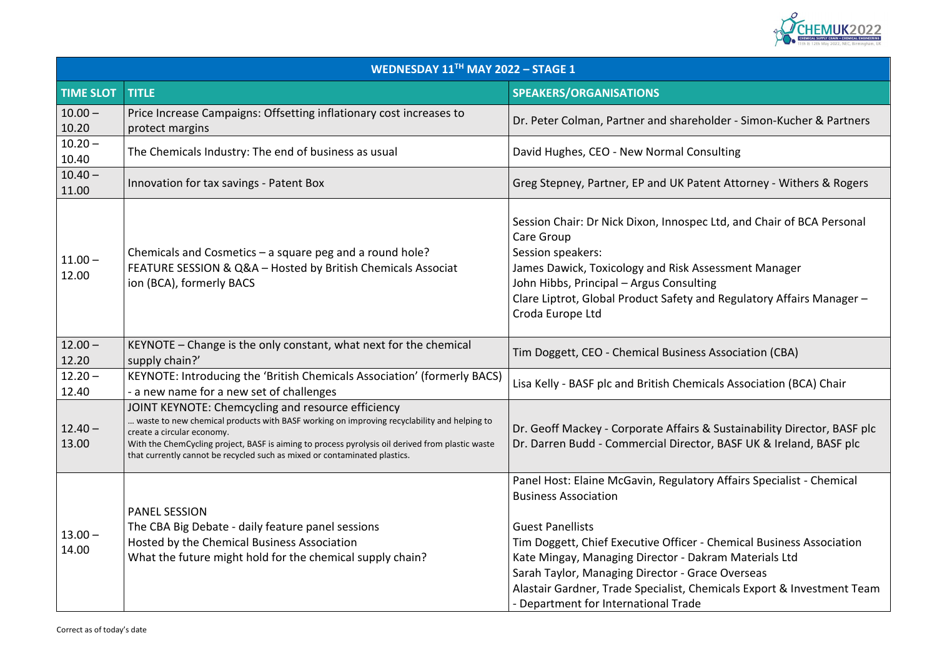

### polder - Simon-Kucher & Partners

ent Attorney - Withers & Rogers

c Ltd, and Chair of BCA Personal

sessment Manager

nd Regulatory Affairs Manager –

icals Association (BCA) Chair

& Sustainability Director, BASF plc or, BASF UK & Ireland, BASF plc

ry Affairs Specialist - Chemical

**Chemical Business Association** kram Materials Ltd **Sarah Taylor** Coverseas emicals Export & Investment Team

| WEDNESDAY $11TH$ MAY 2022 - STAGE 1 |                                                                                                                                                                                                                                                                                                                                                                 |                                                                                                                                                                                                                                                                                                                                                                                                  |
|-------------------------------------|-----------------------------------------------------------------------------------------------------------------------------------------------------------------------------------------------------------------------------------------------------------------------------------------------------------------------------------------------------------------|--------------------------------------------------------------------------------------------------------------------------------------------------------------------------------------------------------------------------------------------------------------------------------------------------------------------------------------------------------------------------------------------------|
| <b>TIME SLOT</b>                    | <b>TITLE</b>                                                                                                                                                                                                                                                                                                                                                    | <b>SPEAKERS/ORGANISATIONS</b>                                                                                                                                                                                                                                                                                                                                                                    |
| $10.00 -$<br>10.20                  | Price Increase Campaigns: Offsetting inflationary cost increases to<br>protect margins                                                                                                                                                                                                                                                                          | Dr. Peter Colman, Partner and shareholder - Simon-Kucl                                                                                                                                                                                                                                                                                                                                           |
| $10.20 -$<br>10.40                  | The Chemicals Industry: The end of business as usual                                                                                                                                                                                                                                                                                                            | David Hughes, CEO - New Normal Consulting                                                                                                                                                                                                                                                                                                                                                        |
| $10.40 -$<br>11.00                  | Innovation for tax savings - Patent Box                                                                                                                                                                                                                                                                                                                         | Greg Stepney, Partner, EP and UK Patent Attorney - Wit                                                                                                                                                                                                                                                                                                                                           |
| $11.00 -$<br>12.00                  | Chemicals and Cosmetics $-$ a square peg and a round hole?<br>FEATURE SESSION & Q&A - Hosted by British Chemicals Associat<br>ion (BCA), formerly BACS                                                                                                                                                                                                          | Session Chair: Dr Nick Dixon, Innospec Ltd, and Chair of<br><b>Care Group</b><br>Session speakers:<br>James Dawick, Toxicology and Risk Assessment Manage<br>John Hibbs, Principal - Argus Consulting<br>Clare Liptrot, Global Product Safety and Regulatory Affa<br>Croda Europe Ltd                                                                                                            |
| $12.00 -$<br>12.20                  | KEYNOTE - Change is the only constant, what next for the chemical<br>supply chain?'                                                                                                                                                                                                                                                                             | Tim Doggett, CEO - Chemical Business Association (CBA)                                                                                                                                                                                                                                                                                                                                           |
| $12.20 -$<br>12.40                  | KEYNOTE: Introducing the 'British Chemicals Association' (formerly BACS)<br>- a new name for a new set of challenges                                                                                                                                                                                                                                            | Lisa Kelly - BASF plc and British Chemicals Association (B                                                                                                                                                                                                                                                                                                                                       |
| $12.40 -$<br>13.00                  | JOINT KEYNOTE: Chemcycling and resource efficiency<br>waste to new chemical products with BASF working on improving recyclability and helping to<br>create a circular economy.<br>With the ChemCycling project, BASF is aiming to process pyrolysis oil derived from plastic waste<br>that currently cannot be recycled such as mixed or contaminated plastics. | Dr. Geoff Mackey - Corporate Affairs & Sustainability Director<br>Dr. Darren Budd - Commercial Director, BASF UK & Irela                                                                                                                                                                                                                                                                         |
| $13.00 -$<br>14.00                  | <b>PANEL SESSION</b><br>The CBA Big Debate - daily feature panel sessions<br>Hosted by the Chemical Business Association<br>What the future might hold for the chemical supply chain?                                                                                                                                                                           | Panel Host: Elaine McGavin, Regulatory Affairs Specialis<br><b>Business Association</b><br><b>Guest Panellists</b><br>Tim Doggett, Chief Executive Officer - Chemical Business<br>Kate Mingay, Managing Director - Dakram Materials Ltd<br>Sarah Taylor, Managing Director - Grace Overseas<br>Alastair Gardner, Trade Specialist, Chemicals Export & Ir<br>- Department for International Trade |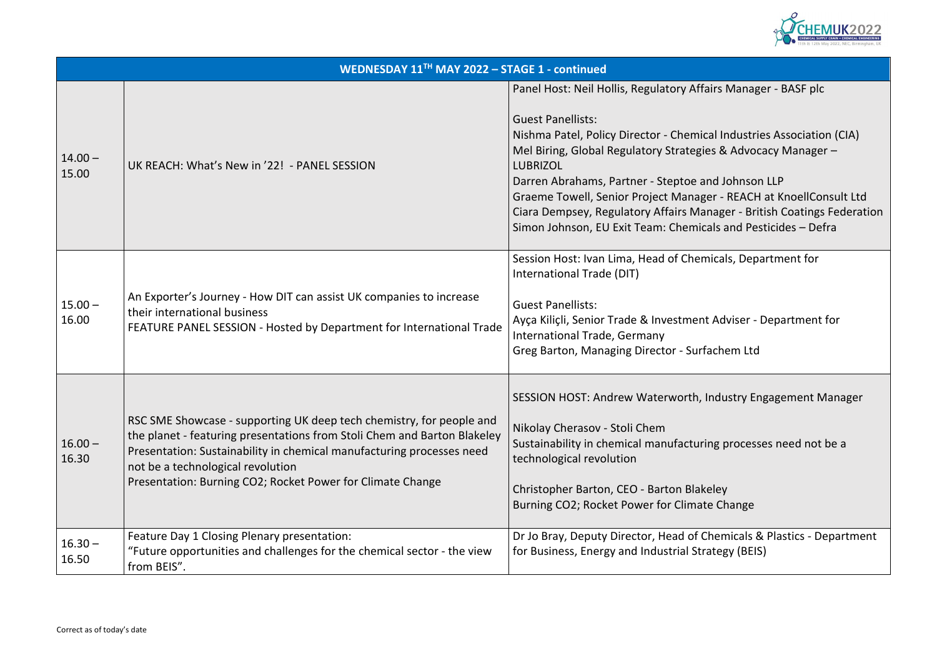

### Pairs Manager - BASF plc

cal Industries Association (CIA) ies & Advocacy Manager –

and Johnson LLP ger - REACH at KnoellConsult Ltd anager - British Coatings Federation cals and Pesticides – Defra

micals, Department for

It Adviser - Department for

fachem Ltd

Industry Engagement Manager

ing processes need not be a

celey te Change

Chemicals & Plastics - Department rategy (BEIS)

|                    | WEDNESDAY 11TH MAY 2022 - STAGE 1 - continued                                                                                                                                                                                                                                                                                |                                                                                                                                                                                                                                                                                                                                                   |
|--------------------|------------------------------------------------------------------------------------------------------------------------------------------------------------------------------------------------------------------------------------------------------------------------------------------------------------------------------|---------------------------------------------------------------------------------------------------------------------------------------------------------------------------------------------------------------------------------------------------------------------------------------------------------------------------------------------------|
| $14.00 -$<br>15.00 | UK REACH: What's New in '22! - PANEL SESSION                                                                                                                                                                                                                                                                                 | Panel Host: Neil Hollis, Regulatory Affa<br><b>Guest Panellists:</b><br>Nishma Patel, Policy Director - Chemic<br>Mel Biring, Global Regulatory Strategio<br><b>LUBRIZOL</b><br>Darren Abrahams, Partner - Steptoe a<br><b>Graeme Towell, Senior Project Manag</b><br>Ciara Dempsey, Regulatory Affairs Ma<br>Simon Johnson, EU Exit Team: Chemic |
| $15.00 -$<br>16.00 | An Exporter's Journey - How DIT can assist UK companies to increase<br>their international business<br>FEATURE PANEL SESSION - Hosted by Department for International Trade                                                                                                                                                  | Session Host: Ivan Lima, Head of Chen<br>International Trade (DIT)<br><b>Guest Panellists:</b><br>Ayça Kiliçli, Senior Trade & Investmen<br><b>International Trade, Germany</b><br>Greg Barton, Managing Director - Surf                                                                                                                          |
| $16.00 -$<br>16.30 | RSC SME Showcase - supporting UK deep tech chemistry, for people and<br>the planet - featuring presentations from Stoli Chem and Barton Blakeley<br>Presentation: Sustainability in chemical manufacturing processes need<br>not be a technological revolution<br>Presentation: Burning CO2; Rocket Power for Climate Change | SESSION HOST: Andrew Waterworth,<br>Nikolay Cherasov - Stoli Chem<br>Sustainability in chemical manufacturi<br>technological revolution<br>Christopher Barton, CEO - Barton Blak<br>Burning CO2; Rocket Power for Climat                                                                                                                          |
| $16.30 -$<br>16.50 | Feature Day 1 Closing Plenary presentation:<br>"Future opportunities and challenges for the chemical sector - the view<br>from BEIS".                                                                                                                                                                                        | Dr Jo Bray, Deputy Director, Head of C<br>for Business, Energy and Industrial Str                                                                                                                                                                                                                                                                 |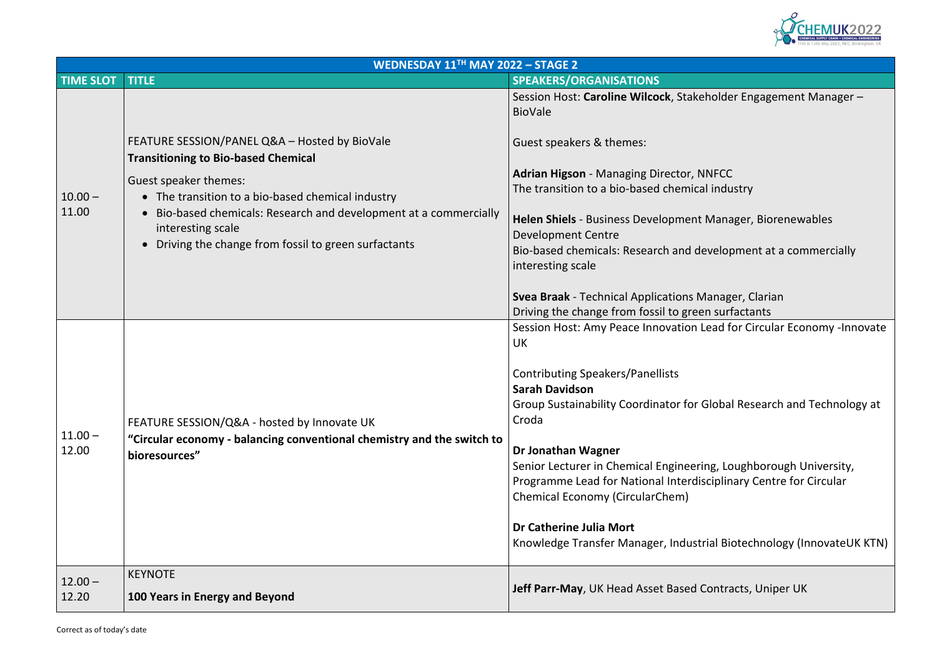

holder Engagement Manager –

**Manager, Biorenewables** 

evelopment at a commercially

**Manager, Clarian** n surfactants ead for Circular Economy -Innovate

**Global Research and Technology at** 

ng, Loughborough University, sciplinary Centre for Circular

rial Biotechnology (InnovateUK KTN)

|                  | WEDNESDAY 11TH MAY 2022 - STAGE 2                                                                                                                                         |                                                                                                             |  |
|------------------|---------------------------------------------------------------------------------------------------------------------------------------------------------------------------|-------------------------------------------------------------------------------------------------------------|--|
| <b>TIME SLOT</b> | <b>TITLE</b>                                                                                                                                                              | SPEAKERS/ORGANISATIONS                                                                                      |  |
| $10.00 -$        |                                                                                                                                                                           | Session Host: Caroline Wilcock, Stakeholder Engagement<br><b>BioVale</b>                                    |  |
|                  | FEATURE SESSION/PANEL Q&A - Hosted by BioVale<br><b>Transitioning to Bio-based Chemical</b><br>Guest speaker themes:<br>• The transition to a bio-based chemical industry | Guest speakers & themes:                                                                                    |  |
|                  |                                                                                                                                                                           | <b>Adrian Higson - Managing Director, NNFCC</b><br>The transition to a bio-based chemical industry          |  |
| 11.00            | • Bio-based chemicals: Research and development at a commercially<br>interesting scale                                                                                    | Helen Shiels - Business Development Manager, Biorenew<br><b>Development Centre</b>                          |  |
|                  | • Driving the change from fossil to green surfactants                                                                                                                     | Bio-based chemicals: Research and development at a com<br>interesting scale                                 |  |
|                  |                                                                                                                                                                           | Svea Braak - Technical Applications Manager, Clarian<br>Driving the change from fossil to green surfactants |  |
|                  | FEATURE SESSION/Q&A - hosted by Innovate UK<br>"Circular economy - balancing conventional chemistry and the switch to<br>bioresources"                                    | Session Host: Amy Peace Innovation Lead for Circular Eco<br><b>UK</b>                                       |  |
|                  |                                                                                                                                                                           | <b>Contributing Speakers/Panellists</b>                                                                     |  |
|                  |                                                                                                                                                                           | <b>Sarah Davidson</b>                                                                                       |  |
| $11.00 -$        |                                                                                                                                                                           | Group Sustainability Coordinator for Global Research and<br>Croda                                           |  |
| 12.00            |                                                                                                                                                                           | Dr Jonathan Wagner                                                                                          |  |
|                  |                                                                                                                                                                           | Senior Lecturer in Chemical Engineering, Loughborough U                                                     |  |
|                  |                                                                                                                                                                           | Programme Lead for National Interdisciplinary Centre for<br><b>Chemical Economy (CircularChem)</b>          |  |
|                  |                                                                                                                                                                           | Dr Catherine Julia Mort<br>Knowledge Transfer Manager, Industrial Biotechnology (In                         |  |
| $12.00 -$        | <b>KEYNOTE</b>                                                                                                                                                            |                                                                                                             |  |
| 12.20            | 100 Years in Energy and Beyond                                                                                                                                            | Jeff Parr-May, UK Head Asset Based Contracts, Uniper UK                                                     |  |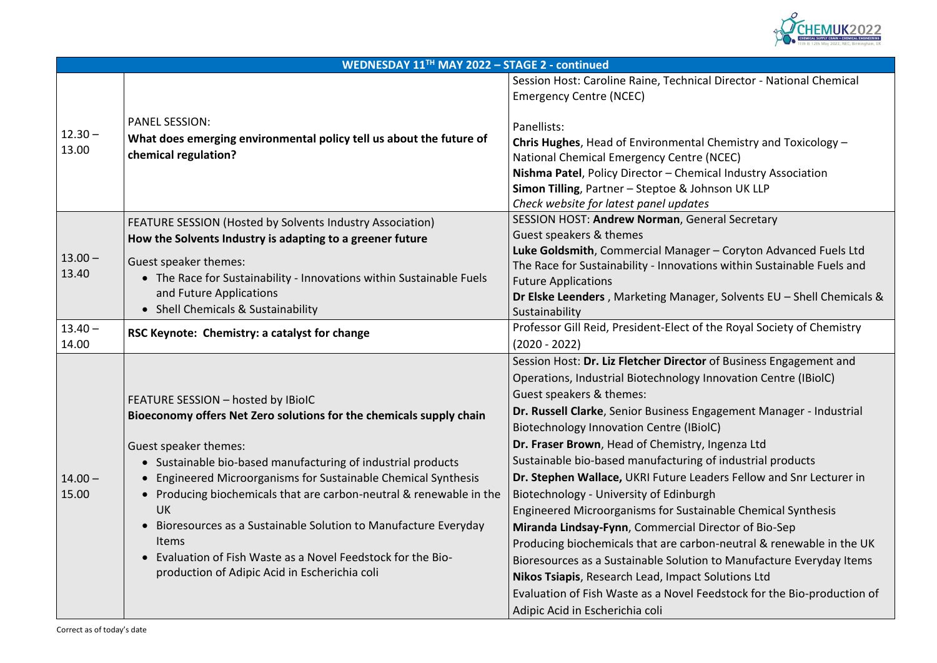

### Director - National Chemical

Chemistry and Toxicology – (NCEC) cal Industry Association **Simon UK LLP** 

eral Secretary

**Luke Goldsmith** Coryton Advanced Fuels Ltd ns within Sustainable Fuels and

**Pr, Solvents EU – Shell Chemicals &** 

the Royal Society of Chemistry

of Business Engagement and nnovation Centre (IBiolC)

gagement Manager - Industrial **Ingenza Ltd** of industrial products ders Fellow and Snr Lecturer in nable Chemical Synthesis **Mirando Exercices**  $p$ n-neutral & renewable in the UK to Manufacture Everyday Items  $S$ olutions Ltd edstock for the Bio-production of

|                    | WEDNESDAY 11TH MAY 2022 - STAGE 2 - continued                                                                                                                                                                                                                                                                                                                                                                                                                                                                                                                |                                                                                                                                                                                                                                                                                                                                                                                                                                                                                                                                                                                                                                                                                                             |
|--------------------|--------------------------------------------------------------------------------------------------------------------------------------------------------------------------------------------------------------------------------------------------------------------------------------------------------------------------------------------------------------------------------------------------------------------------------------------------------------------------------------------------------------------------------------------------------------|-------------------------------------------------------------------------------------------------------------------------------------------------------------------------------------------------------------------------------------------------------------------------------------------------------------------------------------------------------------------------------------------------------------------------------------------------------------------------------------------------------------------------------------------------------------------------------------------------------------------------------------------------------------------------------------------------------------|
|                    | <b>PANEL SESSION:</b>                                                                                                                                                                                                                                                                                                                                                                                                                                                                                                                                        | Session Host: Caroline Raine, Technical D<br><b>Emergency Centre (NCEC)</b><br>Panellists:                                                                                                                                                                                                                                                                                                                                                                                                                                                                                                                                                                                                                  |
| $12.30 -$<br>13.00 | What does emerging environmental policy tell us about the future of<br>chemical regulation?                                                                                                                                                                                                                                                                                                                                                                                                                                                                  | Chris Hughes, Head of Environmental Ch<br>National Chemical Emergency Centre (NO<br>Nishma Patel, Policy Director - Chemical<br><b>Simon Tilling, Partner - Steptoe &amp; Johns</b><br>Check website for latest panel updates                                                                                                                                                                                                                                                                                                                                                                                                                                                                               |
|                    | FEATURE SESSION (Hosted by Solvents Industry Association)<br>How the Solvents Industry is adapting to a greener future                                                                                                                                                                                                                                                                                                                                                                                                                                       | SESSION HOST: Andrew Norman, Genera<br>Guest speakers & themes                                                                                                                                                                                                                                                                                                                                                                                                                                                                                                                                                                                                                                              |
| $13.00 -$<br>13.40 | <b>Guest speaker themes:</b><br>• The Race for Sustainability - Innovations within Sustainable Fuels<br>and Future Applications<br><b>Shell Chemicals &amp; Sustainability</b>                                                                                                                                                                                                                                                                                                                                                                               | Luke Goldsmith, Commercial Manager-<br>The Race for Sustainability - Innovations<br><b>Future Applications</b><br>Dr Elske Leenders, Marketing Manager,<br>Sustainability                                                                                                                                                                                                                                                                                                                                                                                                                                                                                                                                   |
| $13.40 -$<br>14.00 | RSC Keynote: Chemistry: a catalyst for change                                                                                                                                                                                                                                                                                                                                                                                                                                                                                                                | Professor Gill Reid, President-Elect of the<br>$(2020 - 2022)$                                                                                                                                                                                                                                                                                                                                                                                                                                                                                                                                                                                                                                              |
| $14.00 -$<br>15.00 | FEATURE SESSION - hosted by IBioIC<br>Bioeconomy offers Net Zero solutions for the chemicals supply chain<br><b>Guest speaker themes:</b><br>• Sustainable bio-based manufacturing of industrial products<br>Engineered Microorganisms for Sustainable Chemical Synthesis<br>Producing biochemicals that are carbon-neutral & renewable in the<br><b>UK</b><br>Bioresources as a Sustainable Solution to Manufacture Everyday<br><b>Items</b><br>Evaluation of Fish Waste as a Novel Feedstock for the Bio-<br>production of Adipic Acid in Escherichia coli | Session Host: Dr. Liz Fletcher Director of<br>Operations, Industrial Biotechnology Inne<br>Guest speakers & themes:<br>Dr. Russell Clarke, Senior Business Engag<br><b>Biotechnology Innovation Centre (IBiolC)</b><br>Dr. Fraser Brown, Head of Chemistry, Ing<br>Sustainable bio-based manufacturing of<br>Dr. Stephen Wallace, UKRI Future Leade<br>Biotechnology - University of Edinburgh<br><b>Engineered Microorganisms for Sustaina</b><br>Miranda Lindsay-Fynn, Commercial Dire<br>Producing biochemicals that are carbon-<br>Bioresources as a Sustainable Solution to<br>Nikos Tsiapis, Research Lead, Impact Sol<br>Evaluation of Fish Waste as a Novel Feed<br>Adipic Acid in Escherichia coli |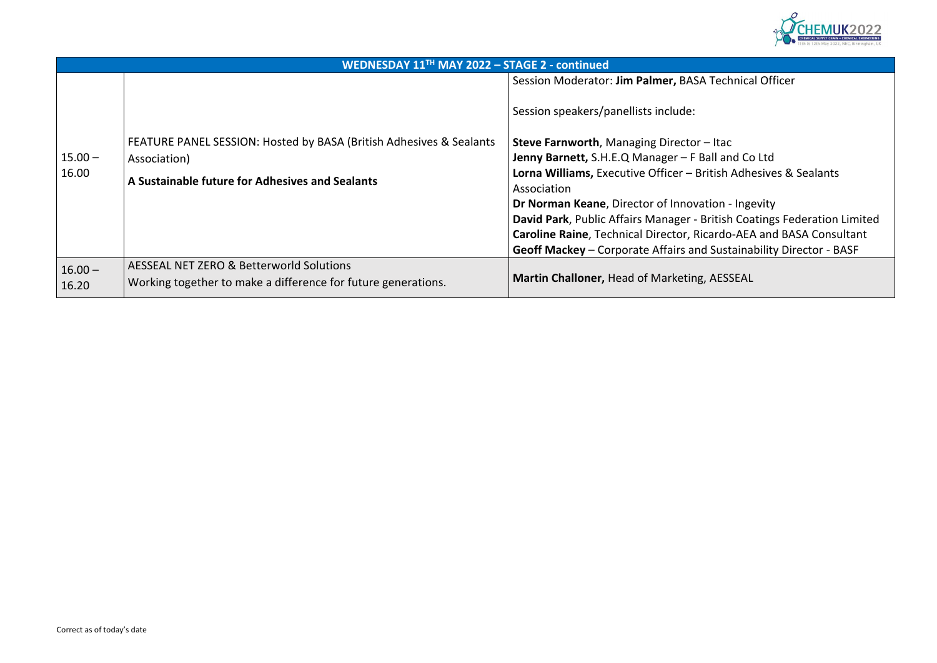

**Technical Officer** 

all and Co Ltd **Lora Executives & Sealants** 

**Dran - Ingevity** ritish Coatings Federation Limited **Cardo-AEA and BASA Consultant Sustainability Director - BASF** 

|           | <b>WEDNESDAY 11TH MAY 2022 - STAGE 2 - continued</b>                |                                                  |
|-----------|---------------------------------------------------------------------|--------------------------------------------------|
|           |                                                                     | Session Moderator: Jim Palmer, BASA Technica     |
|           |                                                                     | Session speakers/panellists include:             |
|           | FEATURE PANEL SESSION: Hosted by BASA (British Adhesives & Sealants | <b>Steve Farnworth, Managing Director - Itac</b> |
| $15.00 -$ | Association)                                                        | Jenny Barnett, S.H.E.Q Manager - F Ball and Co   |
| 16.00     | A Sustainable future for Adhesives and Sealants                     | Lorna Williams, Executive Officer - British Adhe |
|           |                                                                     | Association                                      |
|           |                                                                     | Dr Norman Keane, Director of Innovation - Inge   |
|           |                                                                     | David Park, Public Affairs Manager - British Coa |
|           |                                                                     | Caroline Raine, Technical Director, Ricardo-AEA  |
|           |                                                                     | Geoff Mackey – Corporate Affairs and Sustainal   |
| $16.00 -$ | <b>AESSEAL NET ZERO &amp; Betterworld Solutions</b>                 |                                                  |
| 16.20     | Working together to make a difference for future generations.       | Martin Challoner, Head of Marketing, AESSEAL     |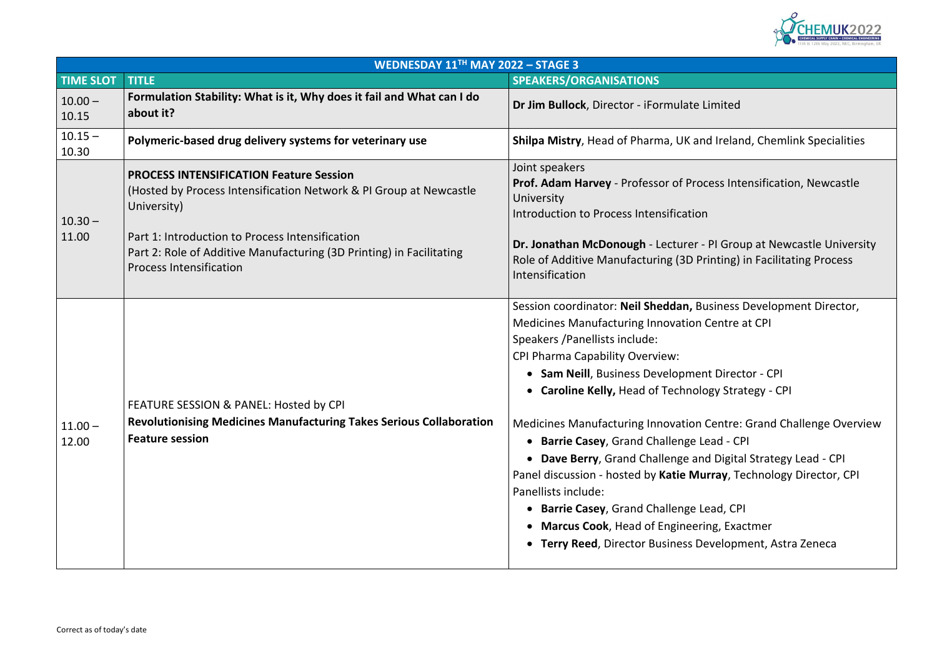

**Polymerical delivatives** in direland, Chemlink Specialities

**Prof. Adam Profess** Intensification, Newcastle

**PI Group at Newcastle University** rinting) in Facilitating Process

**Session Coordination Coordinat** Centre at CPI

nt Director - CPI **ogy Strategy - CPI** 

Centre: Grand Challenge Overview ead - CPI **d Digital Strategy Lead - CPI Panel discussion CPI** are the older than  $F$ 

ead, CPI **ing, Exactmer** evelopment, Astra Zeneca

| WEDNESDAY $11TH$ MAY 2022 - STAGE 3 |                                                                                                                                                           |                                                                                                                                                                                                                                                                                                                                                                                                                                                                                                                                                                                                                           |  |
|-------------------------------------|-----------------------------------------------------------------------------------------------------------------------------------------------------------|---------------------------------------------------------------------------------------------------------------------------------------------------------------------------------------------------------------------------------------------------------------------------------------------------------------------------------------------------------------------------------------------------------------------------------------------------------------------------------------------------------------------------------------------------------------------------------------------------------------------------|--|
| <b>TIME SLOT</b>                    | <b>TITLE</b>                                                                                                                                              | <b>SPEAKERS/ORGANISATIONS</b>                                                                                                                                                                                                                                                                                                                                                                                                                                                                                                                                                                                             |  |
| $10.00 -$<br>10.15                  | Formulation Stability: What is it, Why does it fail and What can I do<br>about it?                                                                        | Dr Jim Bullock, Director - iFormulate Limited                                                                                                                                                                                                                                                                                                                                                                                                                                                                                                                                                                             |  |
| $10.15 -$<br>10.30                  | Polymeric-based drug delivery systems for veterinary use                                                                                                  | Shilpa Mistry, Head of Pharma, UK and Irelar                                                                                                                                                                                                                                                                                                                                                                                                                                                                                                                                                                              |  |
| $10.30 -$                           | <b>PROCESS INTENSIFICATION Feature Session</b><br>(Hosted by Process Intensification Network & PI Group at Newcastle<br>University)                       | Joint speakers<br>Prof. Adam Harvey - Professor of Process Int<br>University<br>Introduction to Process Intensification                                                                                                                                                                                                                                                                                                                                                                                                                                                                                                   |  |
| 11.00                               | Part 1: Introduction to Process Intensification<br>Part 2: Role of Additive Manufacturing (3D Printing) in Facilitating<br><b>Process Intensification</b> | Dr. Jonathan McDonough - Lecturer - PI Gro<br>Role of Additive Manufacturing (3D Printing)<br>Intensification                                                                                                                                                                                                                                                                                                                                                                                                                                                                                                             |  |
| $11.00 -$<br>12.00                  | FEATURE SESSION & PANEL: Hosted by CPI<br><b>Revolutionising Medicines Manufacturing Takes Serious Collaboration</b><br><b>Feature session</b>            | Session coordinator: Neil Sheddan, Business<br><b>Medicines Manufacturing Innovation Centre</b><br>Speakers / Panellists include:<br><b>CPI Pharma Capability Overview:</b><br>• Sam Neill, Business Development Direc<br>• Caroline Kelly, Head of Technology Stra<br><b>Medicines Manufacturing Innovation Centre</b><br>• Barrie Casey, Grand Challenge Lead - C<br>• Dave Berry, Grand Challenge and Digita<br>Panel discussion - hosted by Katie Murray, T<br>Panellists include:<br>• Barrie Casey, Grand Challenge Lead, CF<br>• Marcus Cook, Head of Engineering, Exa<br>• Terry Reed, Director Business Developr |  |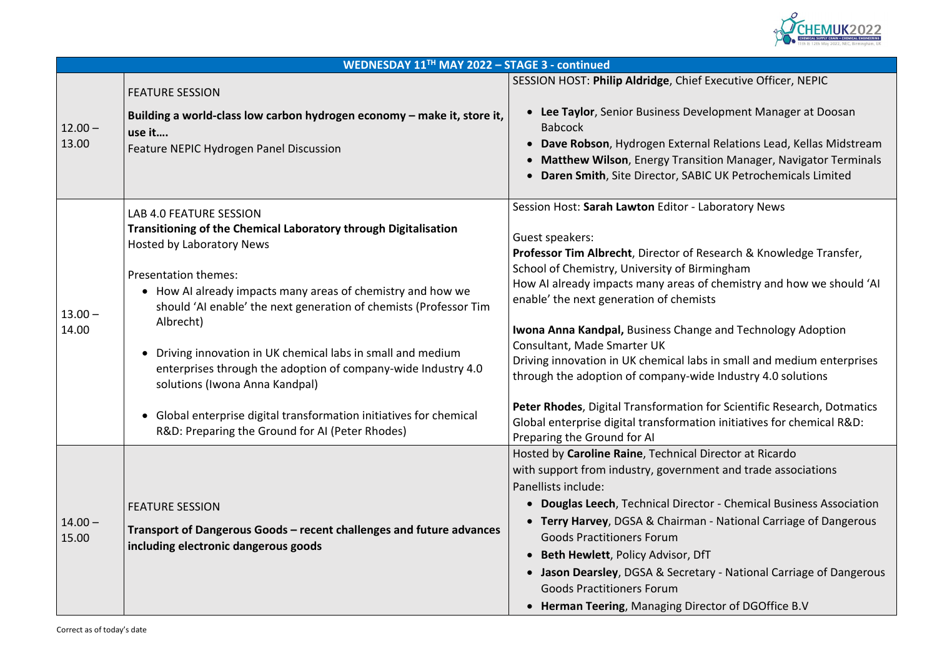

### Executive Officer, NEPIC

**Iopment Manager at Doosan** 

**Relations Lead, Kellas Midstream** ion Manager, Navigator Terminals **C UK Petrochemicals Limited** 

**Sepandia** Bession News

**Professor & Richledge Transfer,** ningham chemistry and how we should 'AI

*<u><b>Band Technology Adoption</u>* 

In small and medium enterprises le Industry 4.0 solutions

for Scientific Research, Dotmatics on initiatives for chemical R&D:

irector at Ricardo ent and trade associations

**Pr** - Chemical Business Association - National Carriage of Dangerous

|                    | WEDNESDAY 11TH MAY 2022 - STAGE 3 - continued                                                                                                                                                                                                                                                                                                                                                                                                                                                                                                                                                           |                                                                                                                                                                                                                                                                                                                                                                                                                                                                                                                         |
|--------------------|---------------------------------------------------------------------------------------------------------------------------------------------------------------------------------------------------------------------------------------------------------------------------------------------------------------------------------------------------------------------------------------------------------------------------------------------------------------------------------------------------------------------------------------------------------------------------------------------------------|-------------------------------------------------------------------------------------------------------------------------------------------------------------------------------------------------------------------------------------------------------------------------------------------------------------------------------------------------------------------------------------------------------------------------------------------------------------------------------------------------------------------------|
| $12.00 -$<br>13.00 | <b>FEATURE SESSION</b><br>Building a world-class low carbon hydrogen economy - make it, store it,<br>use it<br><b>Feature NEPIC Hydrogen Panel Discussion</b>                                                                                                                                                                                                                                                                                                                                                                                                                                           | SESSION HOST: Philip Aldridge, Chief Ex<br>Lee Taylor, Senior Business Develo<br><b>Babcock</b><br>Dave Robson, Hydrogen External I<br><b>Matthew Wilson, Energy Transitic</b><br>Daren Smith, Site Director, SABIC                                                                                                                                                                                                                                                                                                     |
| $13.00 -$<br>14.00 | LAB 4.0 FEATURE SESSION<br>Transitioning of the Chemical Laboratory through Digitalisation<br><b>Hosted by Laboratory News</b><br><b>Presentation themes:</b><br>• How AI already impacts many areas of chemistry and how we<br>should 'AI enable' the next generation of chemists (Professor Tim<br>Albrecht)<br>Driving innovation in UK chemical labs in small and medium<br>enterprises through the adoption of company-wide Industry 4.0<br>solutions (Iwona Anna Kandpal)<br>Global enterprise digital transformation initiatives for chemical<br>R&D: Preparing the Ground for AI (Peter Rhodes) | Session Host: Sarah Lawton Editor - Lab<br>Guest speakers:<br>Professor Tim Albrecht, Director of Res<br>School of Chemistry, University of Birmi<br>How AI already impacts many areas of c<br>enable' the next generation of chemists<br>Iwona Anna Kandpal, Business Change<br>Consultant, Made Smarter UK<br>Driving innovation in UK chemical labs in<br>through the adoption of company-wide<br>Peter Rhodes, Digital Transformation fo<br>Global enterprise digital transformation<br>Preparing the Ground for AI |
| $14.00 -$<br>15.00 | <b>FEATURE SESSION</b><br>Transport of Dangerous Goods - recent challenges and future advances<br>including electronic dangerous goods                                                                                                                                                                                                                                                                                                                                                                                                                                                                  | Hosted by Caroline Raine, Technical Dir<br>with support from industry, governmen<br>Panellists include:<br><b>Douglas Leech, Technical Director</b><br><b>Terry Harvey, DGSA &amp; Chairman -</b><br><b>Goods Practitioners Forum</b><br><b>Beth Hewlett, Policy Advisor, DfT</b><br>Jason Dearsley, DGSA & Secretary<br><b>Goods Practitioners Forum</b><br><b>Herman Teering, Managing Direct</b>                                                                                                                     |

• **Jason Dearsley**, DGSA & Secretary - National Carriage of Dangerous

**ctor of DGOffice B.V**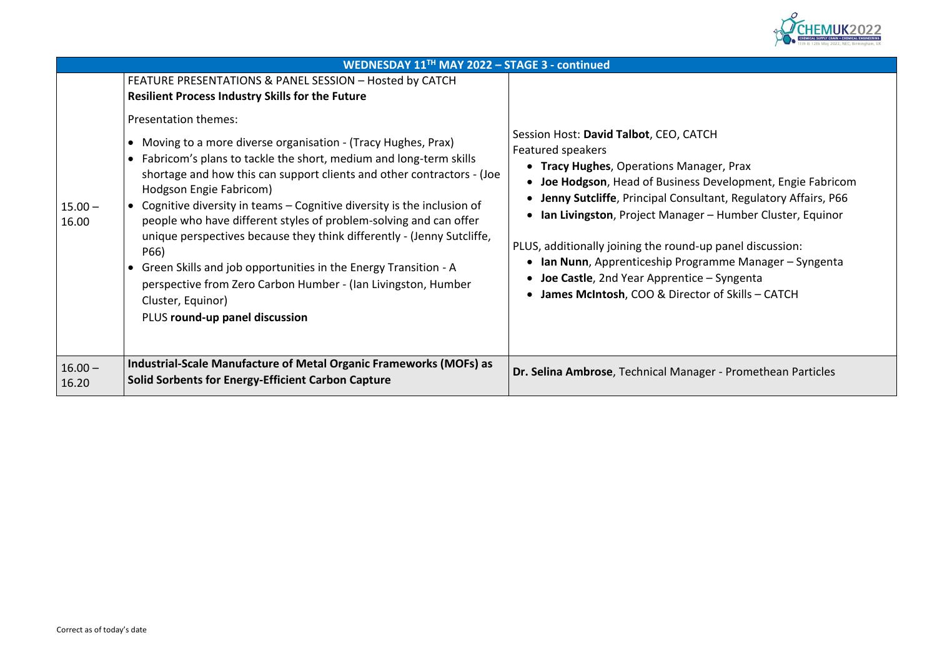

• **Tracy Hughes**, Operations Manager, Prax **Development, Engie Fabricom** tant, Regulatory Affairs, P66 **- Humber Cluster, Equinor** 

p panel discussion: **Imme Manager – Syngenta - Syngenta** of Skills – CATCH

**Solid Somber Forticles Energy-**

|                    | WEDNESDAY 11TH MAY 2022 - STAGE 3 - continued                                                                                                                                                                                                                                                                                                                                                                                                                                                                                                                                                                                                                                                                                                                                                                                        |                                                                                                                                                                                                                                                                                                                                                                                   |
|--------------------|--------------------------------------------------------------------------------------------------------------------------------------------------------------------------------------------------------------------------------------------------------------------------------------------------------------------------------------------------------------------------------------------------------------------------------------------------------------------------------------------------------------------------------------------------------------------------------------------------------------------------------------------------------------------------------------------------------------------------------------------------------------------------------------------------------------------------------------|-----------------------------------------------------------------------------------------------------------------------------------------------------------------------------------------------------------------------------------------------------------------------------------------------------------------------------------------------------------------------------------|
| $15.00 -$<br>16.00 | FEATURE PRESENTATIONS & PANEL SESSION - Hosted by CATCH<br><b>Resilient Process Industry Skills for the Future</b><br><b>Presentation themes:</b><br>Moving to a more diverse organisation - (Tracy Hughes, Prax)<br>Fabricom's plans to tackle the short, medium and long-term skills<br>shortage and how this can support clients and other contractors - (Joe<br>Hodgson Engie Fabricom)<br>Cognitive diversity in teams – Cognitive diversity is the inclusion of<br>$\bullet$<br>people who have different styles of problem-solving and can offer<br>unique perspectives because they think differently - (Jenny Sutcliffe,<br>P66)<br>Green Skills and job opportunities in the Energy Transition - A<br>perspective from Zero Carbon Humber - (Ian Livingston, Humber<br>Cluster, Equinor)<br>PLUS round-up panel discussion | Session Host: David Talbot, CEO, CATCH<br>Featured speakers<br>• Tracy Hughes, Operations Manage<br>Joe Hodgson, Head of Business De<br>Jenny Sutcliffe, Principal Consultar<br>Ian Livingston, Project Manager-<br>PLUS, additionally joining the round-up<br>Ian Nunn, Apprenticeship Program<br><b>Joe Castle, 2nd Year Apprentice -:</b><br>James McIntosh, COO & Director of |
| $16.00 -$<br>16.20 | <b>Industrial-Scale Manufacture of Metal Organic Frameworks (MOFs) as</b><br><b>Solid Sorbents for Energy-Efficient Carbon Capture</b>                                                                                                                                                                                                                                                                                                                                                                                                                                                                                                                                                                                                                                                                                               | Dr. Selina Ambrose, Technical Manager                                                                                                                                                                                                                                                                                                                                             |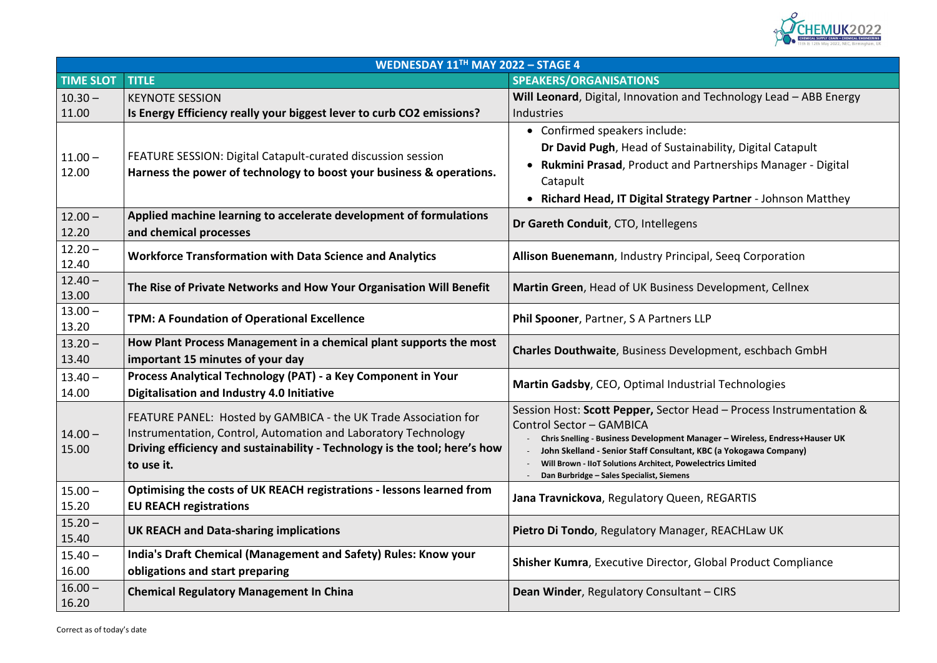

# **Technology Lead – ABB Energy**

ability, Digital Catapult • **Rukmini Prasad**, Product and Partnerships Manager - Digital

• **Richard Head, IT Digital Strategy Partner** - Johnson Matthey

**Morking Corporation** 

**The Rise of Private Setus** evelopment, Cellnex

**imment, eschbach GmbH** 

**Sad – Process Instrumentation &** 

- **Chris Snelling - Business Development Manager – Wireless, Endress+Hauser UK BC (a Yokogawa Company)** *<u><b>Ctrics Limited</u>*</u>

**Iobal Product Compliance** 

|                    | WEDNESDAY 11TH MAY 2022 - STAGE 4                                                                                                                                                                                             |                                                                                                                                                                                                                                                                                                                                        |
|--------------------|-------------------------------------------------------------------------------------------------------------------------------------------------------------------------------------------------------------------------------|----------------------------------------------------------------------------------------------------------------------------------------------------------------------------------------------------------------------------------------------------------------------------------------------------------------------------------------|
| <b>TIME SLOT</b>   | <b>TITLE</b>                                                                                                                                                                                                                  | <b>SPEAKERS/ORGANISATIONS</b>                                                                                                                                                                                                                                                                                                          |
| $10.30 -$<br>11.00 | <b>KEYNOTE SESSION</b><br>Is Energy Efficiency really your biggest lever to curb CO2 emissions?                                                                                                                               | Will Leonard, Digital, Innovation and Technology Lear<br>Industries                                                                                                                                                                                                                                                                    |
| $11.00 -$<br>12.00 | FEATURE SESSION: Digital Catapult-curated discussion session<br>Harness the power of technology to boost your business & operations.                                                                                          | • Confirmed speakers include:<br>Dr David Pugh, Head of Sustainability, Digital Ca<br><b>Rukmini Prasad, Product and Partnerships Man</b><br>$\bullet$<br>Catapult<br><b>Richard Head, IT Digital Strategy Partner - John</b>                                                                                                          |
| $12.00 -$<br>12.20 | Applied machine learning to accelerate development of formulations<br>and chemical processes                                                                                                                                  | Dr Gareth Conduit, CTO, Intellegens                                                                                                                                                                                                                                                                                                    |
| $12.20 -$<br>12.40 | <b>Workforce Transformation with Data Science and Analytics</b>                                                                                                                                                               | Allison Buenemann, Industry Principal, Seeq Corpora                                                                                                                                                                                                                                                                                    |
| $12.40 -$<br>13.00 | The Rise of Private Networks and How Your Organisation Will Benefit                                                                                                                                                           | Martin Green, Head of UK Business Development, Ce                                                                                                                                                                                                                                                                                      |
| $13.00 -$<br>13.20 | <b>TPM: A Foundation of Operational Excellence</b>                                                                                                                                                                            | Phil Spooner, Partner, S A Partners LLP                                                                                                                                                                                                                                                                                                |
| $13.20 -$<br>13.40 | How Plant Process Management in a chemical plant supports the most<br>important 15 minutes of your day                                                                                                                        | <b>Charles Douthwaite, Business Development, eschbac</b>                                                                                                                                                                                                                                                                               |
| $13.40 -$<br>14.00 | Process Analytical Technology (PAT) - a Key Component in Your<br>Digitalisation and Industry 4.0 Initiative                                                                                                                   | Martin Gadsby, CEO, Optimal Industrial Technologies                                                                                                                                                                                                                                                                                    |
| $14.00 -$<br>15.00 | FEATURE PANEL: Hosted by GAMBICA - the UK Trade Association for<br>Instrumentation, Control, Automation and Laboratory Technology<br>Driving efficiency and sustainability - Technology is the tool; here's how<br>to use it. | Session Host: Scott Pepper, Sector Head - Process Inst<br><b>Control Sector - GAMBICA</b><br>Chris Snelling - Business Development Manager - Wireless, End<br>John Skelland - Senior Staff Consultant, KBC (a Yokogawa Com<br>Will Brown - IIoT Solutions Architect, Powelectrics Limited<br>Dan Burbridge - Sales Specialist, Siemens |
| $15.00 -$<br>15.20 | Optimising the costs of UK REACH registrations - lessons learned from<br><b>EU REACH registrations</b>                                                                                                                        | Jana Travnickova, Regulatory Queen, REGARTIS                                                                                                                                                                                                                                                                                           |
| $15.20 -$<br>15.40 | <b>UK REACH and Data-sharing implications</b>                                                                                                                                                                                 | Pietro Di Tondo, Regulatory Manager, REACHLaw UK                                                                                                                                                                                                                                                                                       |
| $15.40 -$<br>16.00 | India's Draft Chemical (Management and Safety) Rules: Know your<br>obligations and start preparing                                                                                                                            | <b>Shisher Kumra, Executive Director, Global Product Co.</b>                                                                                                                                                                                                                                                                           |
| $16.00 -$<br>16.20 | <b>Chemical Regulatory Management In China</b>                                                                                                                                                                                | <b>Dean Winder, Regulatory Consultant - CIRS</b>                                                                                                                                                                                                                                                                                       |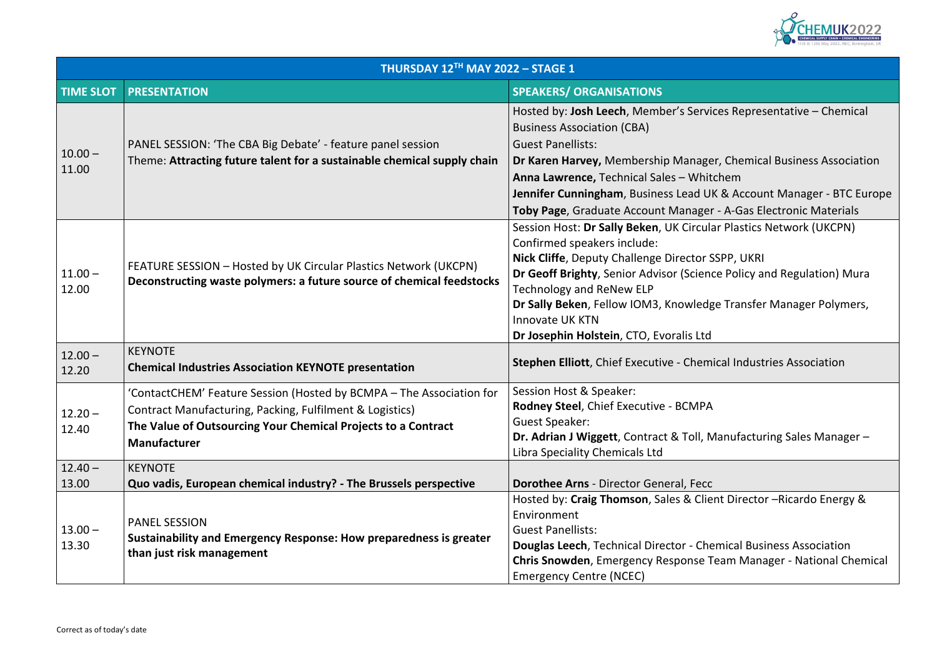

## vices Representative – Chemical

ger, Chemical Business Association **Anitchem UK & Account Manager - BTC Europe** *Er - A-Gas Electronic Materials* **Session Hostics Network (UKCPN)** 

**SSPP, UKRI nce Policy and Regulation) Mura** 

dge Transfer Manager Polymers,

**Mical Industries Association** 

**Manufacturing Sales Manager –** 

ient Director –Ricardo Energy &

**hemical Business Association Team Manager - National Chemical** 

| THURSDAY 12TH MAY 2022 - STAGE 1 |                                                                                                                                                                                                                          |                                                                                                                                                                                                                                                                                                                        |
|----------------------------------|--------------------------------------------------------------------------------------------------------------------------------------------------------------------------------------------------------------------------|------------------------------------------------------------------------------------------------------------------------------------------------------------------------------------------------------------------------------------------------------------------------------------------------------------------------|
| <b>TIME SLOT</b>                 | <b>PRESENTATION</b>                                                                                                                                                                                                      | <b>SPEAKERS/ ORGANISATIONS</b>                                                                                                                                                                                                                                                                                         |
| $10.00 -$<br>11.00               | PANEL SESSION: 'The CBA Big Debate' - feature panel session<br>Theme: Attracting future talent for a sustainable chemical supply chain                                                                                   | Hosted by: Josh Leech, Member's Servi<br><b>Business Association (CBA)</b><br><b>Guest Panellists:</b><br>Dr Karen Harvey, Membership Manage<br>Anna Lawrence, Technical Sales - Whit<br>Jennifer Cunningham, Business Lead U<br>Toby Page, Graduate Account Manager                                                   |
| $11.00 -$<br>12.00               | FEATURE SESSION - Hosted by UK Circular Plastics Network (UKCPN)<br>Deconstructing waste polymers: a future source of chemical feedstocks                                                                                | Session Host: Dr Sally Beken, UK Circula<br>Confirmed speakers include:<br><b>Nick Cliffe, Deputy Challenge Director S</b><br>Dr Geoff Brighty, Senior Advisor (Scien<br><b>Technology and ReNew ELP</b><br>Dr Sally Beken, Fellow IOM3, Knowledg<br><b>Innovate UK KTN</b><br>Dr Josephin Holstein, CTO, Evoralis Ltd |
| $12.00 -$<br>12.20               | <b>KEYNOTE</b><br><b>Chemical Industries Association KEYNOTE presentation</b>                                                                                                                                            | <b>Stephen Elliott, Chief Executive - Chem</b>                                                                                                                                                                                                                                                                         |
| $12.20 -$<br>12.40               | 'ContactCHEM' Feature Session (Hosted by BCMPA - The Association for<br>Contract Manufacturing, Packing, Fulfilment & Logistics)<br>The Value of Outsourcing Your Chemical Projects to a Contract<br><b>Manufacturer</b> | Session Host & Speaker:<br>Rodney Steel, Chief Executive - BCMPA<br><b>Guest Speaker:</b><br>Dr. Adrian J Wiggett, Contract & Toll, N<br>Libra Speciality Chemicals Ltd                                                                                                                                                |
| $12.40 -$<br>13.00               | <b>KEYNOTE</b><br>Quo vadis, European chemical industry? - The Brussels perspective                                                                                                                                      | <b>Dorothee Arns - Director General, Fecc</b>                                                                                                                                                                                                                                                                          |
| $13.00 -$<br>13.30               | <b>PANEL SESSION</b><br>Sustainability and Emergency Response: How preparedness is greater<br>than just risk management                                                                                                  | Hosted by: Craig Thomson, Sales & Clie<br>Environment<br><b>Guest Panellists:</b><br>Douglas Leech, Technical Director - Che<br><b>Chris Snowden, Emergency Response T</b><br><b>Emergency Centre (NCEC)</b>                                                                                                           |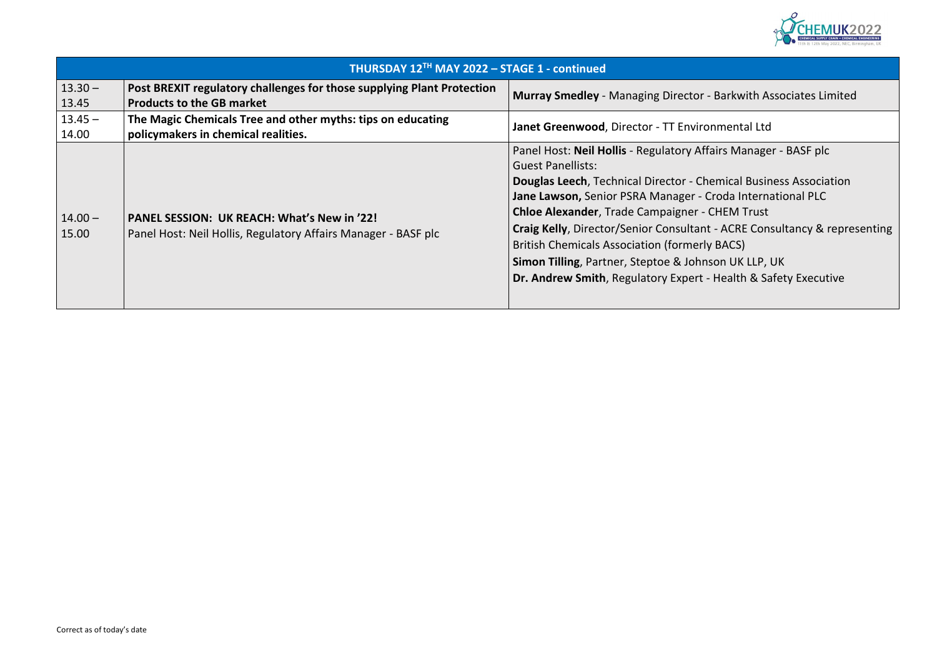

## **- Barkwith Associates Limited**

Fairs Manager - BASF plc

**Demical Business Association Croda International PLC CHEM Trust Readler** Consultancy & representing y BACS) **Simon UK LLP, UK** - Health & Safety Executive

|                    | THURSDAY 12TH MAY 2022 - STAGE 1 - continued                                                                         |                                                                                                                                                                                                                                                           |
|--------------------|----------------------------------------------------------------------------------------------------------------------|-----------------------------------------------------------------------------------------------------------------------------------------------------------------------------------------------------------------------------------------------------------|
| $13.30 -$          | Post BREXIT regulatory challenges for those supplying Plant Protection                                               | Murray Smedley - Managing Director - Barkwith As                                                                                                                                                                                                          |
| 13.45              | <b>Products to the GB market</b>                                                                                     |                                                                                                                                                                                                                                                           |
| $13.45 -$<br>14.00 | The Magic Chemicals Tree and other myths: tips on educating<br>policymakers in chemical realities.                   | Janet Greenwood, Director - TT Environmental Ltd                                                                                                                                                                                                          |
|                    |                                                                                                                      | Panel Host: Neil Hollis - Regulatory Affairs Manage<br><b>Guest Panellists:</b><br><b>Douglas Leech, Technical Director - Chemical Busir</b><br>Jane Lawson, Senior PSRA Manager - Croda Interna<br><b>Chloe Alexander, Trade Campaigner - CHEM Trust</b> |
| $14.00 -$<br>15.00 | <b>PANEL SESSION: UK REACH: What's New in '22!</b><br>Panel Host: Neil Hollis, Regulatory Affairs Manager - BASF plc | Craig Kelly, Director/Senior Consultant - ACRE Con<br><b>British Chemicals Association (formerly BACS)</b><br>Simon Tilling, Partner, Steptoe & Johnson UK LLP,<br>Dr. Andrew Smith, Regulatory Expert - Health & Sa                                      |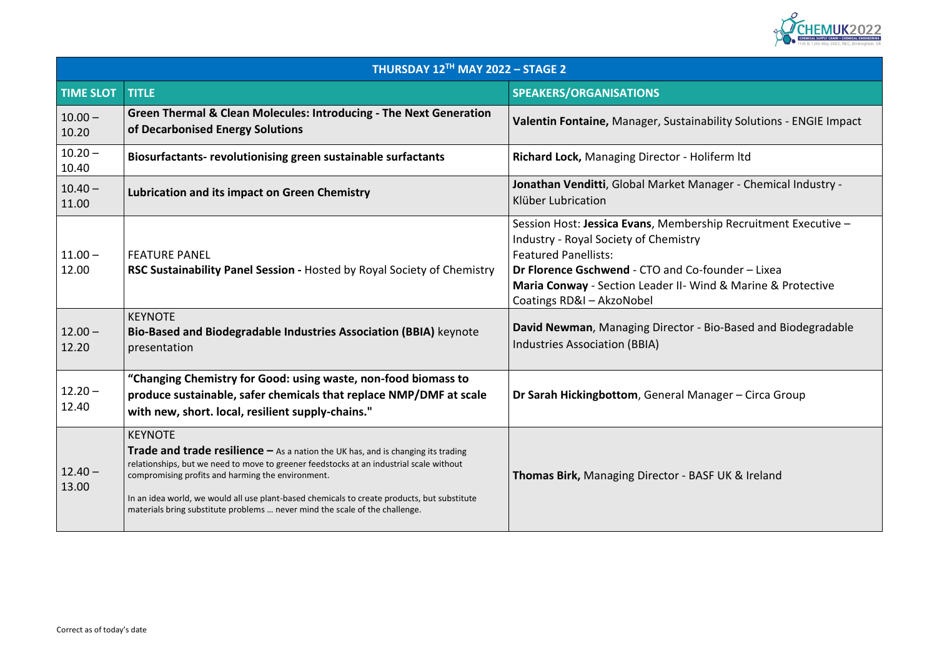

# **bility Solutions - ENGIE Impact**

**Lubrication and industry - Green Chemical Industry -**

ship Recruitment Executive –

founder – Lixea nd & Marine & Protective

**Bio-Based and Biodegradable** 

nager – Circa Group

**The Bireland** SF UK & Ireland

| THURSDAY 12TH MAY 2022 - STAGE 2 |                                                                                                                                                                                                                                                                                                                                                                                                                                           |                                                                                                                                                                                                                                                          |
|----------------------------------|-------------------------------------------------------------------------------------------------------------------------------------------------------------------------------------------------------------------------------------------------------------------------------------------------------------------------------------------------------------------------------------------------------------------------------------------|----------------------------------------------------------------------------------------------------------------------------------------------------------------------------------------------------------------------------------------------------------|
| <b>TIME SLOT</b>                 | <b>TITLE</b>                                                                                                                                                                                                                                                                                                                                                                                                                              | SPEAKERS/ORGANISATIONS                                                                                                                                                                                                                                   |
| $10.00 -$<br>10.20               | <b>Green Thermal &amp; Clean Molecules: Introducing - The Next Generation</b><br>of Decarbonised Energy Solutions                                                                                                                                                                                                                                                                                                                         | Valentin Fontaine, Manager, Sustainability Sol                                                                                                                                                                                                           |
| $10.20 -$<br>10.40               | Biosurfactants- revolutionising green sustainable surfactants                                                                                                                                                                                                                                                                                                                                                                             | Richard Lock, Managing Director - Holiferm Itd                                                                                                                                                                                                           |
| $10.40 -$<br>11.00               | <b>Lubrication and its impact on Green Chemistry</b>                                                                                                                                                                                                                                                                                                                                                                                      | Jonathan Venditti, Global Market Manager - C<br>Klüber Lubrication                                                                                                                                                                                       |
| $11.00 -$<br>12.00               | <b>FEATURE PANEL</b><br>RSC Sustainability Panel Session - Hosted by Royal Society of Chemistry                                                                                                                                                                                                                                                                                                                                           | Session Host: Jessica Evans, Membership Recri<br><b>Industry - Royal Society of Chemistry</b><br><b>Featured Panellists:</b><br>Dr Florence Gschwend - CTO and Co-founder -<br>Maria Conway - Section Leader II- Wind & Mar<br>Coatings RD&I - AkzoNobel |
| $12.00 -$<br>12.20               | <b>KEYNOTE</b><br>Bio-Based and Biodegradable Industries Association (BBIA) keynote<br>presentation                                                                                                                                                                                                                                                                                                                                       | David Newman, Managing Director - Bio-Based<br>Industries Association (BBIA)                                                                                                                                                                             |
| $12.20 -$<br>12.40               | "Changing Chemistry for Good: using waste, non-food biomass to<br>produce sustainable, safer chemicals that replace NMP/DMF at scale<br>with new, short. local, resilient supply-chains."                                                                                                                                                                                                                                                 | Dr Sarah Hickingbottom, General Manager-C                                                                                                                                                                                                                |
| $12.40 -$<br>13.00               | <b>KEYNOTE</b><br><b>Trade and trade resilience</b> $-$ As a nation the UK has, and is changing its trading<br>relationships, but we need to move to greener feedstocks at an industrial scale without<br>compromising profits and harming the environment.<br>In an idea world, we would all use plant-based chemicals to create products, but substitute<br>materials bring substitute problems  never mind the scale of the challenge. | <b>Thomas Birk, Managing Director - BASF UK &amp; I</b>                                                                                                                                                                                                  |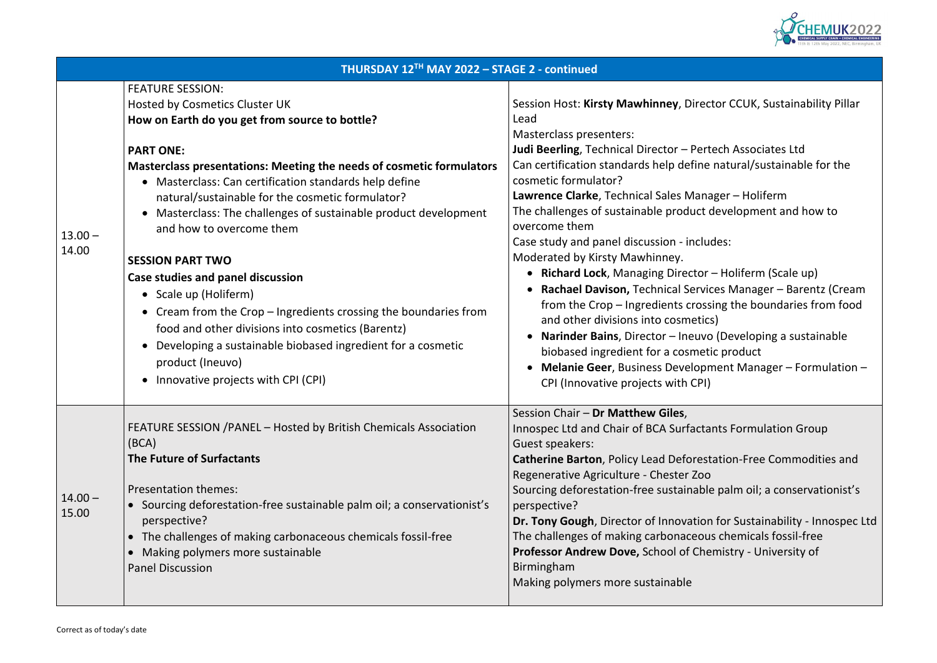

### ector CCUK, Sustainability Pillar

rtech Associates Ltd e natural/sustainable for the

1ager – Holiferm development and how to

udes:

r – Holiferm (Scale up) • **Rachael Davison,** Technical Services Manager – Barentz (Cream

ssing the boundaries from food

• **Narinder Bains**, Director – Ineuvo (Developing a sustainable etic product

**Philandie Manager – Formulation –** 

Iants Formulation Group

**Station-Free Commodities and** 

le palm oil; a conservationist's

**Dr.** For Sustainability - Innospec Ltd us chemicals fossil-free **Professor Andrew Down** Bronessity of

|                    | THURSDAY 12TH MAY 2022 - STAGE 2 - continued                                                                                                                                                                                                                                                                                                                                                                                                                                                                                                                                                                                                                                                                                                                                          |                                                                                                                                                                                                                                                                                                                                                                                                                                                                                                                                                                                                                                                                                                           |  |
|--------------------|---------------------------------------------------------------------------------------------------------------------------------------------------------------------------------------------------------------------------------------------------------------------------------------------------------------------------------------------------------------------------------------------------------------------------------------------------------------------------------------------------------------------------------------------------------------------------------------------------------------------------------------------------------------------------------------------------------------------------------------------------------------------------------------|-----------------------------------------------------------------------------------------------------------------------------------------------------------------------------------------------------------------------------------------------------------------------------------------------------------------------------------------------------------------------------------------------------------------------------------------------------------------------------------------------------------------------------------------------------------------------------------------------------------------------------------------------------------------------------------------------------------|--|
| $13.00 -$<br>14.00 | <b>FEATURE SESSION:</b><br><b>Hosted by Cosmetics Cluster UK</b><br>How on Earth do you get from source to bottle?<br><b>PART ONE:</b><br><b>Masterclass presentations: Meeting the needs of cosmetic formulators</b><br>• Masterclass: Can certification standards help define<br>natural/sustainable for the cosmetic formulator?<br>• Masterclass: The challenges of sustainable product development<br>and how to overcome them<br><b>SESSION PART TWO</b><br><b>Case studies and panel discussion</b><br>• Scale up (Holiferm)<br>• Cream from the Crop – Ingredients crossing the boundaries from<br>food and other divisions into cosmetics (Barentz)<br>Developing a sustainable biobased ingredient for a cosmetic<br>product (Ineuvo)<br>Innovative projects with CPI (CPI) | Session Host: Kirsty Mawhinney, Directo<br>Lead<br><b>Masterclass presenters:</b><br>Judi Beerling, Technical Director - Perte<br>Can certification standards help define r<br>cosmetic formulator?<br>Lawrence Clarke, Technical Sales Manag<br>The challenges of sustainable product de<br>overcome them<br>Case study and panel discussion - include<br>Moderated by Kirsty Mawhinney.<br>• Richard Lock, Managing Director-<br>• Rachael Davison, Technical Service<br>from the Crop - Ingredients crossin<br>and other divisions into cosmetics)<br>Narinder Bains, Director - Ineuvo<br>biobased ingredient for a cosmetic<br>Melanie Geer, Business Developm<br>CPI (Innovative projects with CPI) |  |
| $14.00 -$<br>15.00 | FEATURE SESSION / PANEL - Hosted by British Chemicals Association<br>(BCA)<br><b>The Future of Surfactants</b><br><b>Presentation themes:</b><br>Sourcing deforestation-free sustainable palm oil; a conservationist's<br>$\bullet$<br>perspective?<br>The challenges of making carbonaceous chemicals fossil-free<br>Making polymers more sustainable<br><b>Panel Discussion</b>                                                                                                                                                                                                                                                                                                                                                                                                     | Session Chair - Dr Matthew Giles,<br>Innospec Ltd and Chair of BCA Surfactan<br>Guest speakers:<br><b>Catherine Barton, Policy Lead Deforesta</b><br>Regenerative Agriculture - Chester Zoo<br>Sourcing deforestation-free sustainable<br>perspective?<br>Dr. Tony Gough, Director of Innovation f<br>The challenges of making carbonaceous<br>Professor Andrew Dove, School of Chen<br>Birmingham<br>Making polymers more sustainable                                                                                                                                                                                                                                                                    |  |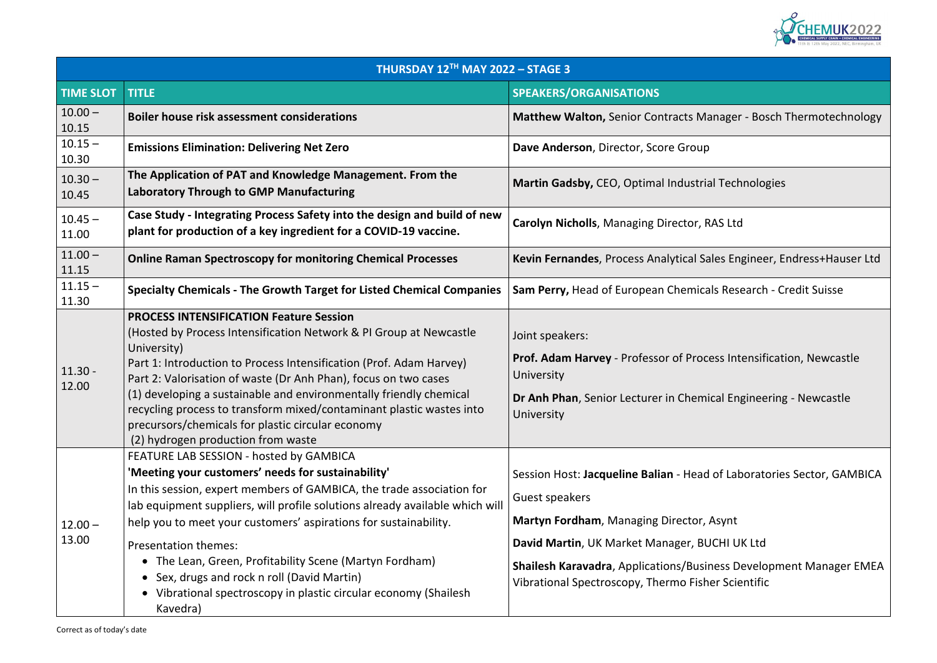

**Boilber Austers** Thermotechnology **Online Raman Spectroscopy for monitoring Chemical Processes Kevin Fernandes**, Process Analytical Sales Engineer, Endress+Hauser Ltd **Specialty Chemicals - The Growth Target for Listed Chemical Companies Sam Perry,** Head of European Chemicals Research - Credit Suisse **Prof.** Prof. **Profiseber** - Professor estable **Drangel** Engineering - Newcastle

d of Laboratories Sector, GAMBICA

**Shawas Shawalopment Manager EMEA** ner Scientific

| THURSDAY 12TH MAY 2022 - STAGE 3 |                                                                                                                                                                                                                                                                                                                                                                                                                                                                                                                                                      |                                                                                                                                                                                                                                                                                         |
|----------------------------------|------------------------------------------------------------------------------------------------------------------------------------------------------------------------------------------------------------------------------------------------------------------------------------------------------------------------------------------------------------------------------------------------------------------------------------------------------------------------------------------------------------------------------------------------------|-----------------------------------------------------------------------------------------------------------------------------------------------------------------------------------------------------------------------------------------------------------------------------------------|
| <b>TIME SLOT</b>                 | <b>TITLE</b>                                                                                                                                                                                                                                                                                                                                                                                                                                                                                                                                         | <b>SPEAKERS/ORGANISATIONS</b>                                                                                                                                                                                                                                                           |
| $10.00 -$<br>10.15               | <b>Boiler house risk assessment considerations</b>                                                                                                                                                                                                                                                                                                                                                                                                                                                                                                   | <b>Matthew Walton, Senior Contracts Manager - Bosch</b>                                                                                                                                                                                                                                 |
| $10.15 -$<br>10.30               | <b>Emissions Elimination: Delivering Net Zero</b>                                                                                                                                                                                                                                                                                                                                                                                                                                                                                                    | Dave Anderson, Director, Score Group                                                                                                                                                                                                                                                    |
| $10.30 -$<br>10.45               | The Application of PAT and Knowledge Management. From the<br><b>Laboratory Through to GMP Manufacturing</b>                                                                                                                                                                                                                                                                                                                                                                                                                                          | Martin Gadsby, CEO, Optimal Industrial Technologies                                                                                                                                                                                                                                     |
| $10.45 -$<br>11.00               | Case Study - Integrating Process Safety into the design and build of new<br>plant for production of a key ingredient for a COVID-19 vaccine.                                                                                                                                                                                                                                                                                                                                                                                                         | Carolyn Nicholls, Managing Director, RAS Ltd                                                                                                                                                                                                                                            |
| $11.00 -$<br>11.15               | <b>Online Raman Spectroscopy for monitoring Chemical Processes</b>                                                                                                                                                                                                                                                                                                                                                                                                                                                                                   | Kevin Fernandes, Process Analytical Sales Engineer, E                                                                                                                                                                                                                                   |
| $11.15 -$<br>11.30               | <b>Specialty Chemicals - The Growth Target for Listed Chemical Companies</b>                                                                                                                                                                                                                                                                                                                                                                                                                                                                         | Sam Perry, Head of European Chemicals Research - C                                                                                                                                                                                                                                      |
| $11.30 -$<br>12.00               | <b>PROCESS INTENSIFICATION Feature Session</b><br>(Hosted by Process Intensification Network & PI Group at Newcastle<br>University)<br>Part 1: Introduction to Process Intensification (Prof. Adam Harvey)<br>Part 2: Valorisation of waste (Dr Anh Phan), focus on two cases<br>(1) developing a sustainable and environmentally friendly chemical<br>recycling process to transform mixed/contaminant plastic wastes into<br>precursors/chemicals for plastic circular economy<br>(2) hydrogen production from waste                               | Joint speakers:<br>Prof. Adam Harvey - Professor of Process Intensificat<br>University<br>Dr Anh Phan, Senior Lecturer in Chemical Engineering<br>University                                                                                                                            |
| $12.00 -$<br>13.00               | FEATURE LAB SESSION - hosted by GAMBICA<br>'Meeting your customers' needs for sustainability'<br>In this session, expert members of GAMBICA, the trade association for<br>lab equipment suppliers, will profile solutions already available which will<br>help you to meet your customers' aspirations for sustainability.<br><b>Presentation themes:</b><br>• The Lean, Green, Profitability Scene (Martyn Fordham)<br>• Sex, drugs and rock n roll (David Martin)<br>• Vibrational spectroscopy in plastic circular economy (Shailesh)<br>Kavedra) | Session Host: Jacqueline Balian - Head of Laboratorie<br>Guest speakers<br>Martyn Fordham, Managing Director, Asynt<br>David Martin, UK Market Manager, BUCHI UK Ltd<br><b>Shailesh Karavadra, Applications/Business Developm</b><br>Vibrational Spectroscopy, Thermo Fisher Scientific |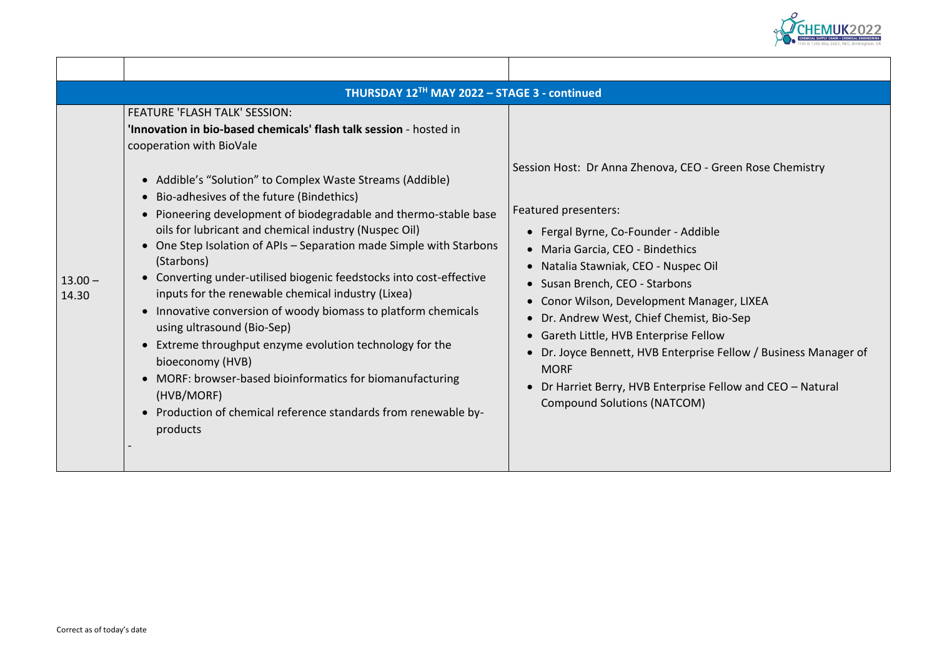

Green Rose Chemistry

1ager, LIXEA Bio-Sep e Fellow / Business Manager of

Fellow and CEO – Natural

| THURSDAY 12TH MAY 2022 - STAGE 3 - continued |                                                                                                                                                                                                                                                                                                                                                                                                                                                                                                                                                                                                                                                                                                                                                                                                                                                                                                                                                                   |                                                                                                                                                                                                                                                                                                                                                                                                                                                                                        |  |  |
|----------------------------------------------|-------------------------------------------------------------------------------------------------------------------------------------------------------------------------------------------------------------------------------------------------------------------------------------------------------------------------------------------------------------------------------------------------------------------------------------------------------------------------------------------------------------------------------------------------------------------------------------------------------------------------------------------------------------------------------------------------------------------------------------------------------------------------------------------------------------------------------------------------------------------------------------------------------------------------------------------------------------------|----------------------------------------------------------------------------------------------------------------------------------------------------------------------------------------------------------------------------------------------------------------------------------------------------------------------------------------------------------------------------------------------------------------------------------------------------------------------------------------|--|--|
| $13.00 -$<br>14.30                           | <b>FEATURE 'FLASH TALK' SESSION:</b><br>'Innovation in bio-based chemicals' flash talk session - hosted in<br>cooperation with BioVale<br>• Addible's "Solution" to Complex Waste Streams (Addible)<br>Bio-adhesives of the future (Bindethics)<br>Pioneering development of biodegradable and thermo-stable base<br>oils for lubricant and chemical industry (Nuspec Oil)<br>One Step Isolation of APIs - Separation made Simple with Starbons<br>$\bullet$<br>(Starbons)<br>Converting under-utilised biogenic feedstocks into cost-effective<br>inputs for the renewable chemical industry (Lixea)<br>Innovative conversion of woody biomass to platform chemicals<br>using ultrasound (Bio-Sep)<br>Extreme throughput enzyme evolution technology for the<br>$\bullet$<br>bioeconomy (HVB)<br>MORF: browser-based bioinformatics for biomanufacturing<br>$\bullet$<br>(HVB/MORF)<br>Production of chemical reference standards from renewable by-<br>products | Session Host: Dr Anna Zhenova, CEO - Gre<br><b>Featured presenters:</b><br>• Fergal Byrne, Co-Founder - Addible<br>• Maria Garcia, CEO - Bindethics<br>Natalia Stawniak, CEO - Nuspec Oil<br>• Susan Brench, CEO - Starbons<br>Conor Wilson, Development Manage<br>Dr. Andrew West, Chief Chemist, Bio<br>• Gareth Little, HVB Enterprise Fellow<br>Dr. Joyce Bennett, HVB Enterprise Fe<br><b>MORF</b><br>Dr Harriet Berry, HVB Enterprise Fell<br><b>Compound Solutions (NATCOM)</b> |  |  |